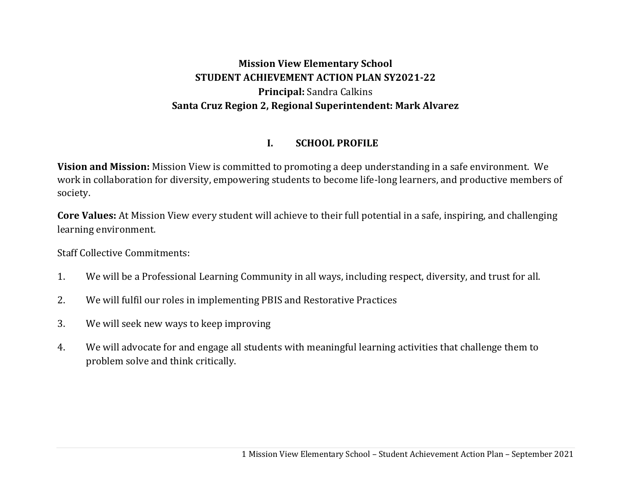# **Mission View Elementary School STUDENT ACHIEVEMENT ACTION PLAN SY2021-22 Principal:** Sandra Calkins **Santa Cruz Region 2, Regional Superintendent: Mark Alvarez**

### **I. SCHOOL PROFILE**

**Vision and Mission:** Mission View is committed to promoting a deep understanding in a safe environment. We work in collaboration for diversity, empowering students to become life-long learners, and productive members of society.

**Core Values:** At Mission View every student will achieve to their full potential in a safe, inspiring, and challenging learning environment.

Staff Collective Commitments:

- 1. We will be a Professional Learning Community in all ways, including respect, diversity, and trust for all.
- 2. We will fulfil our roles in implementing PBIS and Restorative Practices
- 3. We will seek new ways to keep improving
- 4. We will advocate for and engage all students with meaningful learning activities that challenge them to problem solve and think critically.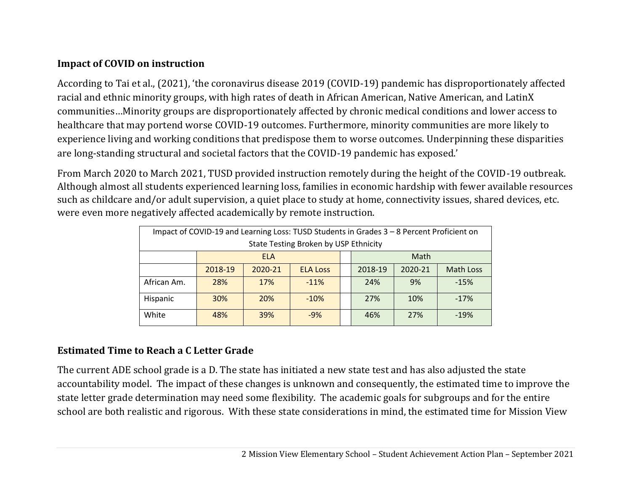### **Impact of COVID on instruction**

According to Tai et al., (2021), 'the coronavirus disease 2019 (COVID-19) pandemic has disproportionately affected racial and ethnic minority groups, with high rates of death in African American, Native American, and LatinX communities…Minority groups are disproportionately affected by chronic medical conditions and lower access to healthcare that may portend worse COVID-19 outcomes. Furthermore, minority communities are more likely to experience living and working conditions that predispose them to worse outcomes. Underpinning these disparities are long-standing structural and societal factors that the COVID-19 pandemic has exposed.'

From March 2020 to March 2021, TUSD provided instruction remotely during the height of the COVID-19 outbreak. Although almost all students experienced learning loss, families in economic hardship with fewer available resources such as childcare and/or adult supervision, a quiet place to study at home, connectivity issues, shared devices, etc. were even more negatively affected academically by remote instruction.

| Impact of COVID-19 and Learning Loss: TUSD Students in Grades 3 - 8 Percent Proficient on |                                       |         |                 |                      |         |         |                  |  |
|-------------------------------------------------------------------------------------------|---------------------------------------|---------|-----------------|----------------------|---------|---------|------------------|--|
|                                                                                           | State Testing Broken by USP Ethnicity |         |                 |                      |         |         |                  |  |
|                                                                                           | Math<br><b>ELA</b>                    |         |                 |                      |         |         |                  |  |
|                                                                                           | 2018-19                               | 2020-21 | <b>ELA Loss</b> |                      | 2018-19 | 2020-21 | <b>Math Loss</b> |  |
| African Am.                                                                               | 28%                                   | 17%     | $-11%$          |                      | 24%     | 9%      | $-15%$           |  |
| Hispanic                                                                                  | 30%                                   | 20%     | $-10%$          | 27%<br>10%<br>$-17%$ |         |         |                  |  |
| White                                                                                     | 48%                                   | 39%     | $-9%$           |                      | 46%     | 27%     | $-19%$           |  |

#### **Estimated Time to Reach a C Letter Grade**

The current ADE school grade is a D. The state has initiated a new state test and has also adjusted the state accountability model. The impact of these changes is unknown and consequently, the estimated time to improve the state letter grade determination may need some flexibility. The academic goals for subgroups and for the entire school are both realistic and rigorous. With these state considerations in mind, the estimated time for Mission View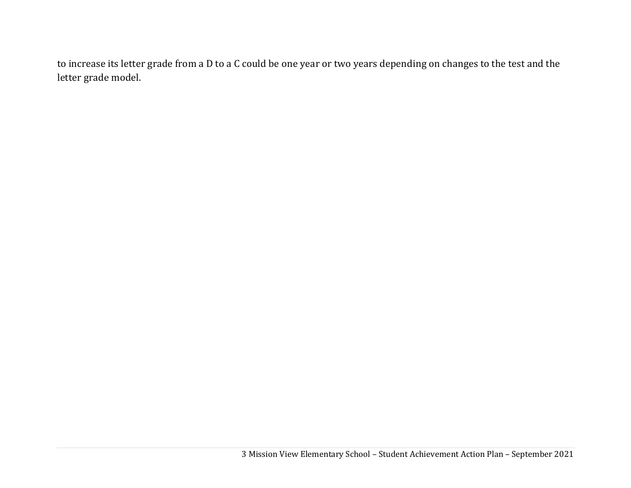to increase its letter grade from a D to a C could be one year or two years depending on changes to the test and the letter grade model.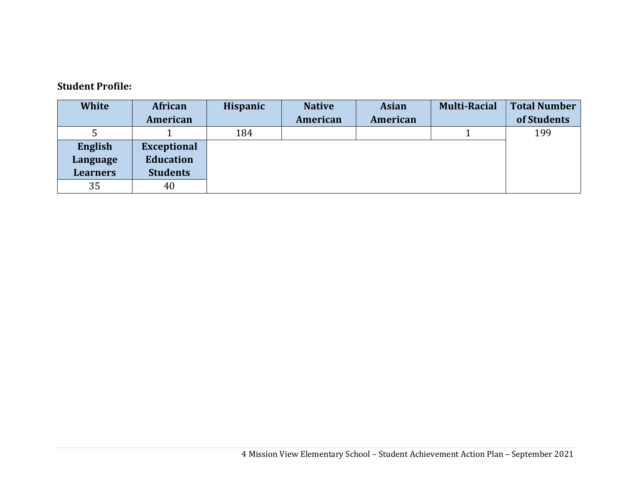#### **Student Profile:**

| <b>White</b>    | African            | <b>Hispanic</b> | <b>Native</b> | <b>Asian</b> | <b>Multi-Racial</b> | <b>Total Number</b> |
|-----------------|--------------------|-----------------|---------------|--------------|---------------------|---------------------|
|                 | American           |                 | American      | American     |                     | of Students         |
|                 |                    | 184             |               |              |                     | 199                 |
| English         | <b>Exceptional</b> |                 |               |              |                     |                     |
| Language        | <b>Education</b>   |                 |               |              |                     |                     |
| <b>Learners</b> | <b>Students</b>    |                 |               |              |                     |                     |
| 35              | 40                 |                 |               |              |                     |                     |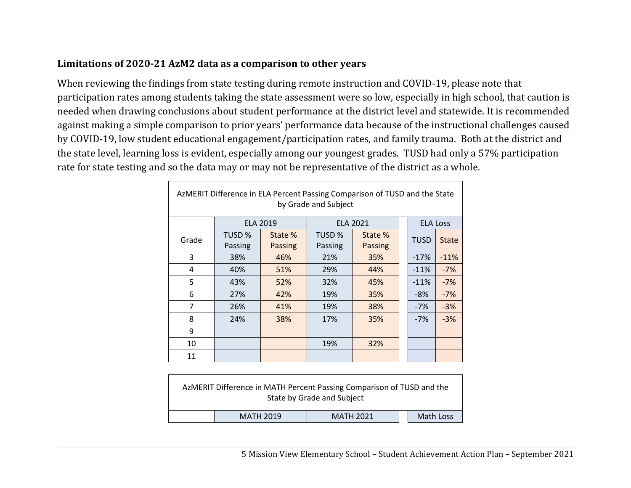#### **Limitations of 2020-21 AzM2 data as a comparison to other years**

 $\Gamma$ 

When reviewing the findings from state testing during remote instruction and COVID-19, please note that participation rates among students taking the state assessment were so low, especially in high school, that caution is needed when drawing conclusions about student performance at the district level and statewide. It is recommended against making a simple comparison to prior years' performance data because of the instructional challenges caused by COVID-19, low student educational engagement/participation rates, and family trauma. Both at the district and the state level, learning loss is evident, especially among our youngest grades. TUSD had only a 57% participation rate for state testing and so the data may or may not be representative of the district as a whole.

| AzMERIT Difference in ELA Percent Passing Comparison of TUSD and the State<br>by Grade and Subject |                   |                           |                   |                    |  |                 |              |  |
|----------------------------------------------------------------------------------------------------|-------------------|---------------------------|-------------------|--------------------|--|-----------------|--------------|--|
|                                                                                                    |                   | <b>ELA 2019</b>           | <b>ELA 2021</b>   |                    |  | <b>ELA Loss</b> |              |  |
| Grade                                                                                              | TUSD %<br>Passing | State %<br><b>Passing</b> | TUSD %<br>Passing | State %<br>Passing |  | TUSD            | <b>State</b> |  |
| 3                                                                                                  | 38%               | 46%                       | 21%               | 35%                |  | $-17%$          | $-11%$       |  |
| 4                                                                                                  | 40%               | 51%                       | 29%               | 44%                |  | $-11%$          | $-7%$        |  |
| 5                                                                                                  | 43%               | 52%                       | 32%               | 45%                |  | $-11%$          | $-7%$        |  |
| 6                                                                                                  | 27%               | 42%                       | 19%               | 35%                |  | $-8%$           | $-7%$        |  |
| $\overline{7}$                                                                                     | 26%               | 41%                       | 19%               | 38%                |  | $-7%$           | $-3%$        |  |
| 8                                                                                                  | 24%               | 38%                       | 17%               | 35%                |  | $-7%$           | $-3%$        |  |
| 9                                                                                                  |                   |                           |                   |                    |  |                 |              |  |
| 10                                                                                                 |                   |                           | 19%               | 32%                |  |                 |              |  |
| 11                                                                                                 |                   |                           |                   |                    |  |                 |              |  |

|                                            |  | AzMERIT Difference in MATH Percent Passing Comparison of TUSD and the<br>State by Grade and Subject |  |  |  |  |
|--------------------------------------------|--|-----------------------------------------------------------------------------------------------------|--|--|--|--|
| <b>MATH 2019</b><br>Math Loss<br>MATH 2021 |  |                                                                                                     |  |  |  |  |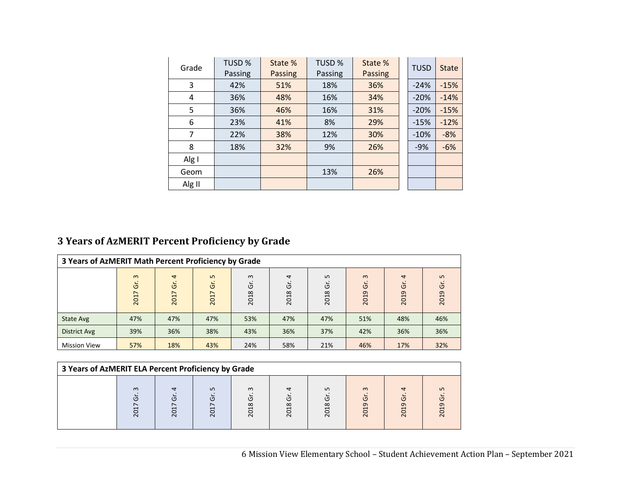| Grade  | TUSD %<br>Passing | State %<br><b>Passing</b> | TUSD %<br>Passing | State %<br><b>Passing</b> | <b>TUSD</b> | <b>State</b> |
|--------|-------------------|---------------------------|-------------------|---------------------------|-------------|--------------|
| 3      | 42%               | 51%                       | 18%               | 36%                       | $-24%$      | $-15%$       |
| 4      | 36%               | 48%                       | 16%               | 34%                       | $-20%$      | $-14%$       |
| 5      | 36%               | 46%                       | 16%               | 31%                       | $-20%$      | $-15%$       |
| 6      | 23%               | 41%                       | 8%                | 29%                       | $-15%$      | $-12%$       |
| 7      | 22%               | 38%                       | 12%               | 30%                       | $-10%$      | $-8%$        |
| 8      | 18%               | 32%                       | 9%                | 26%                       | $-9%$       | $-6%$        |
| Alg I  |                   |                           |                   |                           |             |              |
| Geom   |                   |                           | 13%               | 26%                       |             |              |
| Alg II |                   |                           |                   |                           |             |              |

# **3 Years of AzMERIT Percent Proficiency by Grade**

| 3 Years of AzMERIT Math Percent Proficiency by Grade |                                     |                             |                  |                       |                             |                           |                                                                 |                              |                    |
|------------------------------------------------------|-------------------------------------|-----------------------------|------------------|-----------------------|-----------------------------|---------------------------|-----------------------------------------------------------------|------------------------------|--------------------|
|                                                      | $\omega$<br>$\ddot{\sigma}$<br>2017 | $\overline{4}$<br>Ğ<br>2017 | LO.<br>Ğ<br>2017 | $\omega$<br>Ğ<br>2018 | $\overline{4}$<br>Ğ<br>2018 | $\mathsf{L}$<br>Ğ<br>2018 | $\infty$<br>0<br>თ<br>$\mathbf{\overline{u}}$<br>$\overline{5}$ | $\overline{a}$<br>تا<br>2019 | ഗ<br>0<br>თ<br>201 |
| State Avg                                            | 47%                                 | 47%                         | 47%              | 53%                   | 47%                         | 47%                       | 51%                                                             | 48%                          | 46%                |
| <b>District Avg</b>                                  | 39%                                 | 36%                         | 38%              | 43%                   | 36%                         | 37%                       | 42%                                                             | 36%                          | 36%                |
| <b>Mission View</b>                                  | 57%                                 | 18%                         | 43%              | 24%                   | 58%                         | 21%                       | 46%                                                             | 17%                          | 32%                |

| 3 Years of AzMERIT ELA Percent Proficiency by Grade |                                             |                   |                                                                 |                                           |                                    |                                                  |                         |                                                  |  |
|-----------------------------------------------------|---------------------------------------------|-------------------|-----------------------------------------------------------------|-------------------------------------------|------------------------------------|--------------------------------------------------|-------------------------|--------------------------------------------------|--|
|                                                     | ന<br>$\mathsf{C}$<br>⊂<br>$\overline{\sim}$ | $\overline{\sim}$ | $\mathsf{L}$<br>$\sqrt{2}$<br>ᄀ<br>$\circ$<br>$\overline{\sim}$ | $\omega$<br>$\infty$<br>$\overline{\sim}$ | $\infty$<br>↽<br>$\overline{\sim}$ | LO.<br>( פ<br>$\infty$<br>↽<br>$\overline{\sim}$ | $\infty$<br>თ<br>$\sim$ | ᡡ<br>$\mathbf -$<br>o<br>$\overline{\mathsf{N}}$ |  |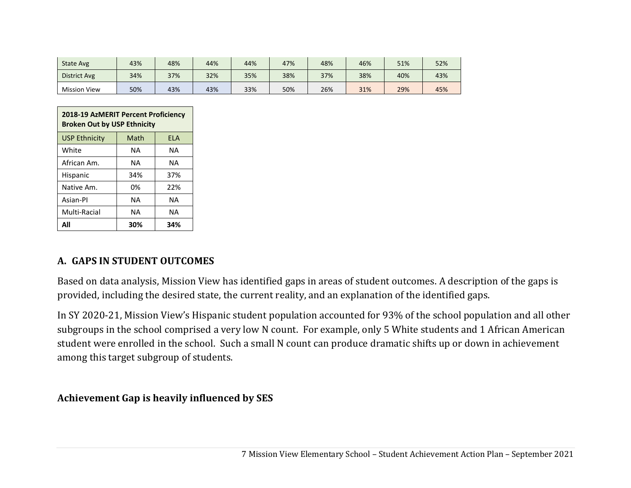| State Avg           | 43% | 48% | 44% | 44% | 47% | 48% | 46% | 51% | 52% |
|---------------------|-----|-----|-----|-----|-----|-----|-----|-----|-----|
| <b>District Avg</b> | 34% | 37% | 32% | 35% | 38% | 37% | 38% | 40% | 43% |
| <b>Mission View</b> | 50% | 43% | 43% | 33% | 50% | 26% | 31% | 29% | 45% |

| <b>2018-19 AzMERIT Percent Proficiency</b><br><b>Broken Out by USP Ethnicity</b> |      |     |  |  |  |  |  |
|----------------------------------------------------------------------------------|------|-----|--|--|--|--|--|
| <b>USP Ethnicity</b>                                                             | Math | ELA |  |  |  |  |  |
| White                                                                            | ΝA   | ΝA  |  |  |  |  |  |
| African Am.                                                                      | ΝA   | ΝA  |  |  |  |  |  |
| Hispanic                                                                         | 34%  | 37% |  |  |  |  |  |
| Native Am.                                                                       | 0%   | 22% |  |  |  |  |  |
| Asian-Pl                                                                         | ΝA   | ΝA  |  |  |  |  |  |
| Multi-Racial<br>ΝA<br>ΝA                                                         |      |     |  |  |  |  |  |
| Δll                                                                              | 30%  | 34% |  |  |  |  |  |

#### **A. GAPS IN STUDENT OUTCOMES**

Based on data analysis, Mission View has identified gaps in areas of student outcomes. A description of the gaps is provided, including the desired state, the current reality, and an explanation of the identified gaps.

In SY 2020-21, Mission View's Hispanic student population accounted for 93% of the school population and all other subgroups in the school comprised a very low N count. For example, only 5 White students and 1 African American student were enrolled in the school. Such a small N count can produce dramatic shifts up or down in achievement among this target subgroup of students.

#### **Achievement Gap is heavily influenced by SES**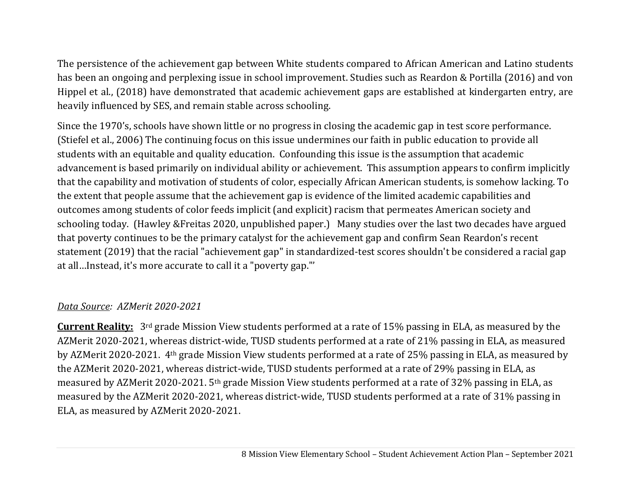The persistence of the achievement gap between White students compared to African American and Latino students has been an ongoing and perplexing issue in school improvement. Studies such as Reardon & Portilla (2016) and von Hippel et al., (2018) have demonstrated that academic achievement gaps are established at kindergarten entry, are heavily influenced by SES, and remain stable across schooling.

Since the 1970's, schools have shown little or no progress in closing the academic gap in test score performance. (Stiefel et al., 2006) The continuing focus on this issue undermines our faith in public education to provide all students with an equitable and quality education. Confounding this issue is the assumption that academic advancement is based primarily on individual ability or achievement. This assumption appears to confirm implicitly that the capability and motivation of students of color, especially African American students, is somehow lacking. To the extent that people assume that the achievement gap is evidence of the limited academic capabilities and outcomes among students of color feeds implicit (and explicit) racism that permeates American society and schooling today. (Hawley &Freitas 2020, unpublished paper.) Many studies over the last two decades have argued that poverty continues to be the primary catalyst for the achievement gap and confirm Sean Reardon's recent statement (2019) that the racial "achievement gap" in standardized-test scores shouldn't be considered a racial gap at all…Instead, it's more accurate to call it a "poverty gap."'

#### *Data Source: AZMerit 2020-2021*

**Current Reality:** 3rd grade Mission View students performed at a rate of 15% passing in ELA, as measured by the AZMerit 2020-2021, whereas district-wide, TUSD students performed at a rate of 21% passing in ELA, as measured by AZMerit 2020-2021. 4th grade Mission View students performed at a rate of 25% passing in ELA, as measured by the AZMerit 2020-2021, whereas district-wide, TUSD students performed at a rate of 29% passing in ELA, as measured by AZMerit 2020-2021. 5th grade Mission View students performed at a rate of 32% passing in ELA, as measured by the AZMerit 2020-2021, whereas district-wide, TUSD students performed at a rate of 31% passing in ELA, as measured by AZMerit 2020-2021.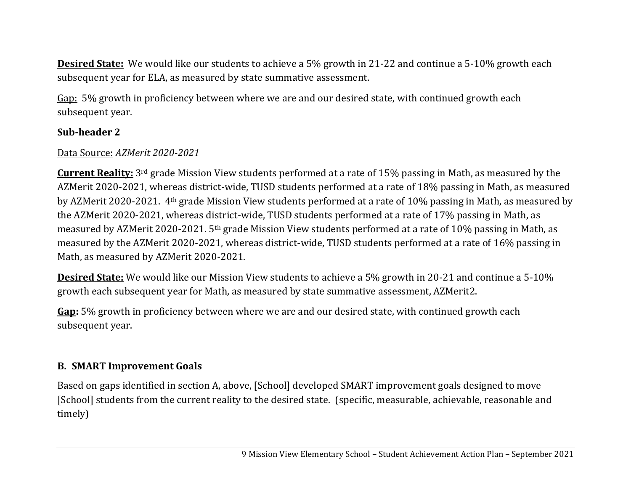**Desired State:** We would like our students to achieve a 5% growth in 21-22 and continue a 5-10% growth each subsequent year for ELA, as measured by state summative assessment.

Gap: 5% growth in proficiency between where we are and our desired state, with continued growth each subsequent year.

## **Sub-header 2**

### Data Source: *AZMerit 2020-2021*

**Current Reality:** 3rd grade Mission View students performed at a rate of 15% passing in Math, as measured by the AZMerit 2020-2021, whereas district-wide, TUSD students performed at a rate of 18% passing in Math, as measured by AZMerit 2020-2021. 4th grade Mission View students performed at a rate of 10% passing in Math, as measured by the AZMerit 2020-2021, whereas district-wide, TUSD students performed at a rate of 17% passing in Math, as measured by AZMerit 2020-2021. 5th grade Mission View students performed at a rate of 10% passing in Math, as measured by the AZMerit 2020-2021, whereas district-wide, TUSD students performed at a rate of 16% passing in Math, as measured by AZMerit 2020-2021.

**Desired State:** We would like our Mission View students to achieve a 5% growth in 20-21 and continue a 5-10% growth each subsequent year for Math, as measured by state summative assessment, AZMerit2.

**Gap:** 5% growth in proficiency between where we are and our desired state, with continued growth each subsequent year.

## **B. SMART Improvement Goals**

Based on gaps identified in section A, above, [School] developed SMART improvement goals designed to move [School] students from the current reality to the desired state. (specific, measurable, achievable, reasonable and timely)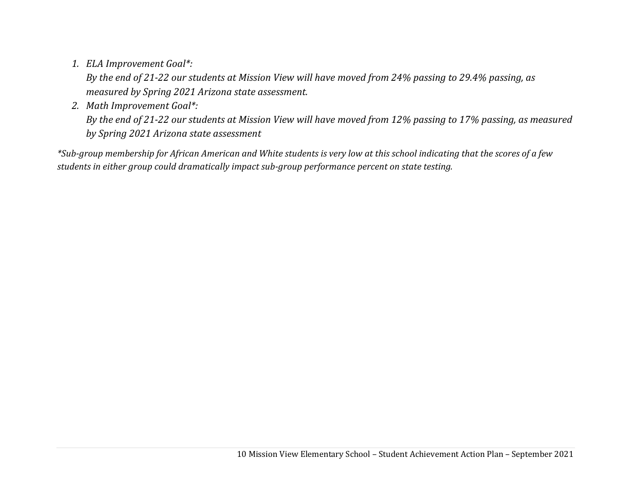*1. ELA Improvement Goal\*:* 

*By the end of 21-22 our students at Mission View will have moved from 24% passing to 29.4% passing, as measured by Spring 2021 Arizona state assessment.*

*2. Math Improvement Goal\*:* 

*By the end of 21-22 our students at Mission View will have moved from 12% passing to 17% passing, as measured by Spring 2021 Arizona state assessment*

*\*Sub-group membership for African American and White students is very low at this school indicating that the scores of a few students in either group could dramatically impact sub-group performance percent on state testing.*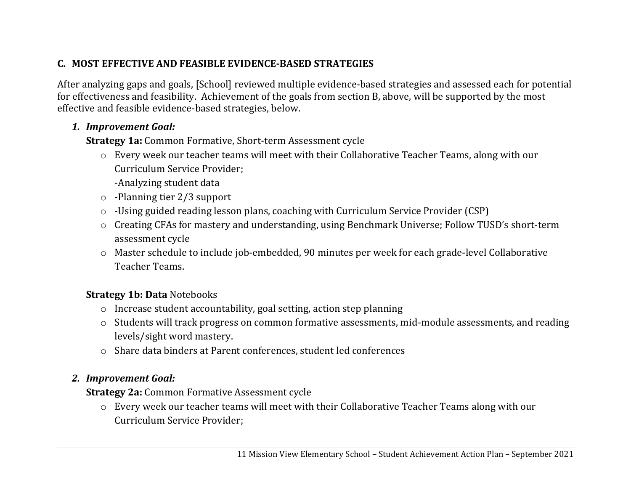# **C. MOST EFFECTIVE AND FEASIBLE EVIDENCE-BASED STRATEGIES**

After analyzing gaps and goals, [School] reviewed multiple evidence-based strategies and assessed each for potential for effectiveness and feasibility. Achievement of the goals from section B, above, will be supported by the most effective and feasible evidence-based strategies, below.

#### *1. Improvement Goal:*

**Strategy 1a:** Common Formative, Short-term Assessment cycle

- o Every week our teacher teams will meet with their Collaborative Teacher Teams, along with our Curriculum Service Provider;
	- -Analyzing student data
- o -Planning tier 2/3 support
- o -Using guided reading lesson plans, coaching with Curriculum Service Provider (CSP)
- o Creating CFAs for mastery and understanding, using Benchmark Universe; Follow TUSD's short-term assessment cycle
- o Master schedule to include job-embedded, 90 minutes per week for each grade-level Collaborative Teacher Teams.

#### **Strategy 1b: Data** Notebooks

- o Increase student accountability, goal setting, action step planning
- o Students will track progress on common formative assessments, mid-module assessments, and reading levels/sight word mastery.
- o Share data binders at Parent conferences, student led conferences

#### *2. Improvement Goal:*

### **Strategy 2a:** Common Formative Assessment cycle

o Every week our teacher teams will meet with their Collaborative Teacher Teams along with our Curriculum Service Provider;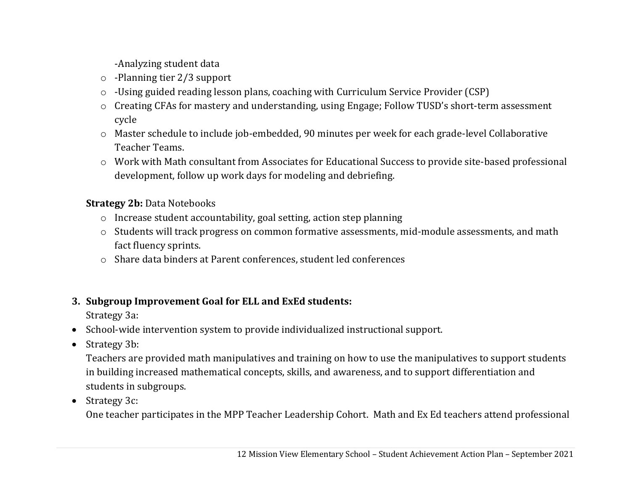-Analyzing student data

- o -Planning tier 2/3 support
- o -Using guided reading lesson plans, coaching with Curriculum Service Provider (CSP)
- o Creating CFAs for mastery and understanding, using Engage; Follow TUSD's short-term assessment cycle
- o Master schedule to include job-embedded, 90 minutes per week for each grade-level Collaborative Teacher Teams.
- o Work with Math consultant from Associates for Educational Success to provide site-based professional development, follow up work days for modeling and debriefing.

#### **Strategy 2b:** Data Notebooks

- o Increase student accountability, goal setting, action step planning
- o Students will track progress on common formative assessments, mid-module assessments, and math fact fluency sprints.
- o Share data binders at Parent conferences, student led conferences

## **3. Subgroup Improvement Goal for ELL and ExEd students:**

Strategy 3a:

- School-wide intervention system to provide individualized instructional support.
- Strategy 3b:

Teachers are provided math manipulatives and training on how to use the manipulatives to support students in building increased mathematical concepts, skills, and awareness, and to support differentiation and students in subgroups.

• Strategy 3c:

One teacher participates in the MPP Teacher Leadership Cohort. Math and Ex Ed teachers attend professional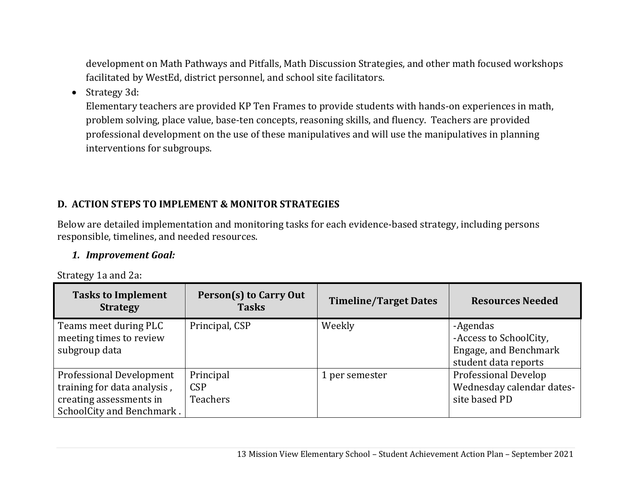development on Math Pathways and Pitfalls, Math Discussion Strategies, and other math focused workshops facilitated by WestEd, district personnel, and school site facilitators.

• Strategy 3d:

Elementary teachers are provided KP Ten Frames to provide students with hands-on experiences in math, problem solving, place value, base-ten concepts, reasoning skills, and fluency. Teachers are provided professional development on the use of these manipulatives and will use the manipulatives in planning interventions for subgroups.

# **D. ACTION STEPS TO IMPLEMENT & MONITOR STRATEGIES**

Below are detailed implementation and monitoring tasks for each evidence-based strategy, including persons responsible, timelines, and needed resources.

## *1. Improvement Goal:*

Strategy 1a and 2a:

| <b>Tasks to Implement</b><br><b>Strategy</b>                                                                    | Person(s) to Carry Out<br><b>Tasks</b>     | <b>Timeline/Target Dates</b> | <b>Resources Needed</b>                                                             |
|-----------------------------------------------------------------------------------------------------------------|--------------------------------------------|------------------------------|-------------------------------------------------------------------------------------|
| Teams meet during PLC<br>meeting times to review<br>subgroup data                                               | Principal, CSP                             | Weekly                       | -Agendas<br>-Access to SchoolCity,<br>Engage, and Benchmark<br>student data reports |
| Professional Development<br>training for data analysis,<br>creating assessments in<br>SchoolCity and Benchmark. | Principal<br><b>CSP</b><br><b>Teachers</b> | 1 per semester               | Professional Develop<br>Wednesday calendar dates-<br>site based PD                  |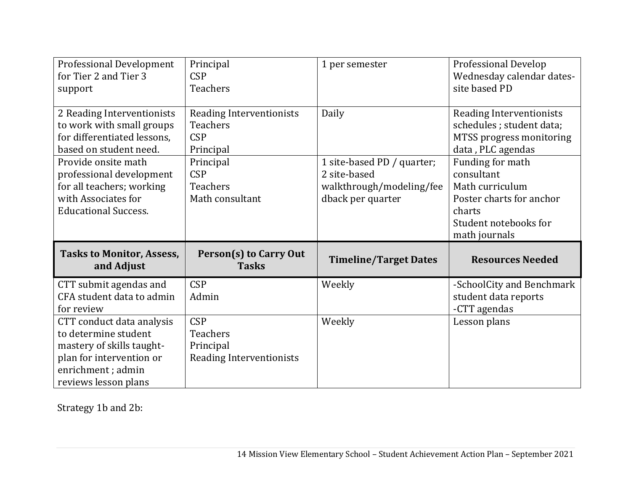| Professional Development<br>for Tier 2 and Tier 3<br>support                                                                       | Principal<br><b>CSP</b><br><b>Teachers</b>                                    | 1 per semester                                                                              | Professional Develop<br>Wednesday calendar dates-<br>site based PD                                                                |
|------------------------------------------------------------------------------------------------------------------------------------|-------------------------------------------------------------------------------|---------------------------------------------------------------------------------------------|-----------------------------------------------------------------------------------------------------------------------------------|
| 2 Reading Interventionists<br>to work with small groups<br>for differentiated lessons,<br>based on student need.                   | <b>Reading Interventionists</b><br><b>Teachers</b><br><b>CSP</b><br>Principal | Daily                                                                                       | <b>Reading Interventionists</b><br>schedules; student data;<br>MTSS progress monitoring<br>data, PLC agendas                      |
| Provide onsite math<br>professional development<br>for all teachers; working<br>with Associates for<br><b>Educational Success.</b> | Principal<br><b>CSP</b><br><b>Teachers</b><br>Math consultant                 | 1 site-based PD / quarter;<br>2 site-based<br>walkthrough/modeling/fee<br>dback per quarter | Funding for math<br>consultant<br>Math curriculum<br>Poster charts for anchor<br>charts<br>Student notebooks for<br>math journals |
| <b>Tasks to Monitor, Assess,</b><br>and Adjust                                                                                     | Person(s) to Carry Out                                                        | <b>Timeline/Target Dates</b>                                                                |                                                                                                                                   |
|                                                                                                                                    | <b>Tasks</b>                                                                  |                                                                                             | <b>Resources Needed</b>                                                                                                           |
| CTT submit agendas and<br>CFA student data to admin<br>for review                                                                  | <b>CSP</b><br>Admin                                                           | Weekly                                                                                      | -SchoolCity and Benchmark<br>student data reports<br>-CTT agendas                                                                 |

Strategy 1b and 2b: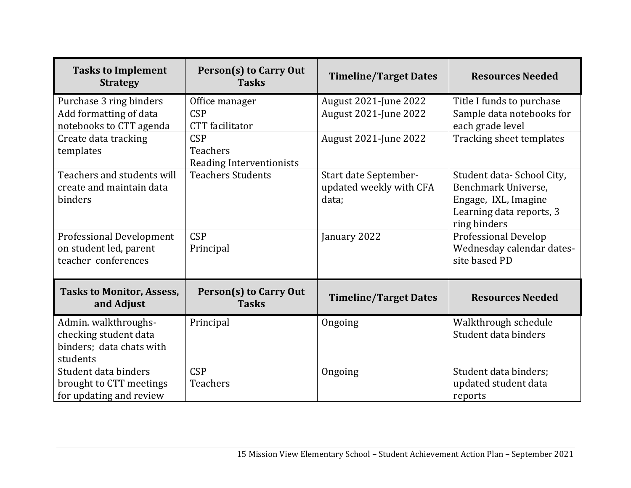| <b>Tasks to Implement</b><br><b>Strategy</b>                                          | <b>Person(s) to Carry Out</b><br><b>Tasks</b>             | <b>Timeline/Target Dates</b>                              | <b>Resources Needed</b>                                                                                              |
|---------------------------------------------------------------------------------------|-----------------------------------------------------------|-----------------------------------------------------------|----------------------------------------------------------------------------------------------------------------------|
| Purchase 3 ring binders                                                               | Office manager                                            | <b>August 2021-June 2022</b>                              | Title I funds to purchase                                                                                            |
| Add formatting of data<br>notebooks to CTT agenda                                     | <b>CSP</b><br><b>CTT</b> facilitator                      | <b>August 2021-June 2022</b>                              | Sample data notebooks for<br>each grade level                                                                        |
| Create data tracking<br>templates                                                     | <b>CSP</b><br><b>Teachers</b><br>Reading Interventionists | <b>August 2021-June 2022</b>                              | Tracking sheet templates                                                                                             |
| Teachers and students will<br>create and maintain data<br>binders                     | <b>Teachers Students</b>                                  | Start date September-<br>updated weekly with CFA<br>data; | Student data-School City,<br>Benchmark Universe,<br>Engage, IXL, Imagine<br>Learning data reports, 3<br>ring binders |
| <b>Professional Development</b><br>on student led, parent<br>teacher conferences      | <b>CSP</b><br>Principal                                   | January 2022                                              | Professional Develop<br>Wednesday calendar dates-<br>site based PD                                                   |
| <b>Tasks to Monitor, Assess,</b><br>and Adjust                                        | Person(s) to Carry Out<br><b>Tasks</b>                    | <b>Timeline/Target Dates</b>                              | <b>Resources Needed</b>                                                                                              |
| Admin. walkthroughs-<br>checking student data<br>binders; data chats with<br>students | Principal                                                 | Ongoing                                                   | Walkthrough schedule<br>Student data binders                                                                         |
| Student data binders<br>brought to CTT meetings<br>for updating and review            | <b>CSP</b><br><b>Teachers</b>                             | Ongoing                                                   | Student data binders;<br>updated student data<br>reports                                                             |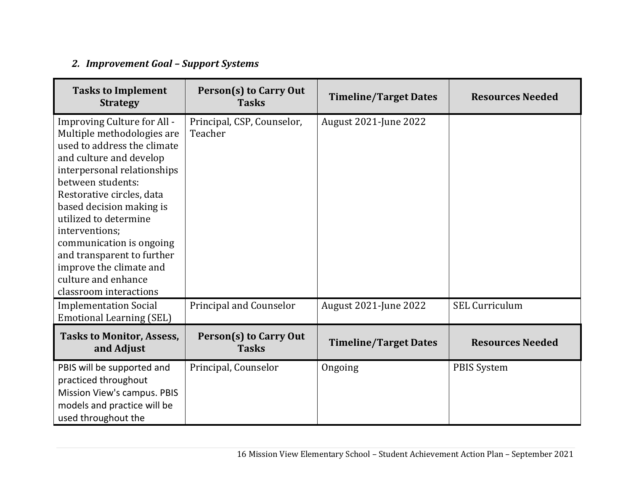# *2. Improvement Goal – Support Systems*

| <b>Tasks to Implement</b><br><b>Strategy</b>                                                                                                                                                                                                                                                                                                                                                                      | Person(s) to Carry Out<br><b>Tasks</b> | <b>Timeline/Target Dates</b> | <b>Resources Needed</b> |
|-------------------------------------------------------------------------------------------------------------------------------------------------------------------------------------------------------------------------------------------------------------------------------------------------------------------------------------------------------------------------------------------------------------------|----------------------------------------|------------------------------|-------------------------|
| Improving Culture for All -<br>Multiple methodologies are<br>used to address the climate<br>and culture and develop<br>interpersonal relationships<br>between students:<br>Restorative circles, data<br>based decision making is<br>utilized to determine<br>interventions;<br>communication is ongoing<br>and transparent to further<br>improve the climate and<br>culture and enhance<br>classroom interactions | Principal, CSP, Counselor,<br>Teacher  | August 2021-June 2022        |                         |
| <b>Implementation Social</b><br><b>Emotional Learning (SEL)</b>                                                                                                                                                                                                                                                                                                                                                   | <b>Principal and Counselor</b>         | <b>August 2021-June 2022</b> | <b>SEL Curriculum</b>   |
| <b>Tasks to Monitor, Assess,</b><br>and Adjust                                                                                                                                                                                                                                                                                                                                                                    | Person(s) to Carry Out<br><b>Tasks</b> | <b>Timeline/Target Dates</b> | <b>Resources Needed</b> |
| PBIS will be supported and<br>practiced throughout<br>Mission View's campus. PBIS<br>models and practice will be<br>used throughout the                                                                                                                                                                                                                                                                           | Principal, Counselor                   | Ongoing                      | <b>PBIS System</b>      |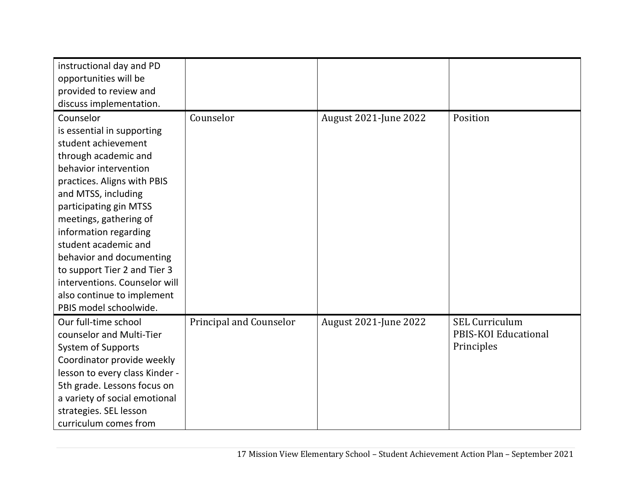| instructional day and PD       |                                |                              |                       |
|--------------------------------|--------------------------------|------------------------------|-----------------------|
| opportunities will be          |                                |                              |                       |
| provided to review and         |                                |                              |                       |
| discuss implementation.        |                                |                              |                       |
| Counselor                      | Counselor                      | <b>August 2021-June 2022</b> | Position              |
| is essential in supporting     |                                |                              |                       |
| student achievement            |                                |                              |                       |
| through academic and           |                                |                              |                       |
| behavior intervention          |                                |                              |                       |
| practices. Aligns with PBIS    |                                |                              |                       |
| and MTSS, including            |                                |                              |                       |
| participating gin MTSS         |                                |                              |                       |
| meetings, gathering of         |                                |                              |                       |
| information regarding          |                                |                              |                       |
| student academic and           |                                |                              |                       |
| behavior and documenting       |                                |                              |                       |
| to support Tier 2 and Tier 3   |                                |                              |                       |
| interventions. Counselor will  |                                |                              |                       |
| also continue to implement     |                                |                              |                       |
| PBIS model schoolwide.         |                                |                              |                       |
| Our full-time school           | <b>Principal and Counselor</b> | <b>August 2021-June 2022</b> | <b>SEL Curriculum</b> |
| counselor and Multi-Tier       |                                |                              | PBIS-KOI Educational  |
| <b>System of Supports</b>      |                                |                              | Principles            |
| Coordinator provide weekly     |                                |                              |                       |
| lesson to every class Kinder - |                                |                              |                       |
| 5th grade. Lessons focus on    |                                |                              |                       |
| a variety of social emotional  |                                |                              |                       |
| strategies. SEL lesson         |                                |                              |                       |
| curriculum comes from          |                                |                              |                       |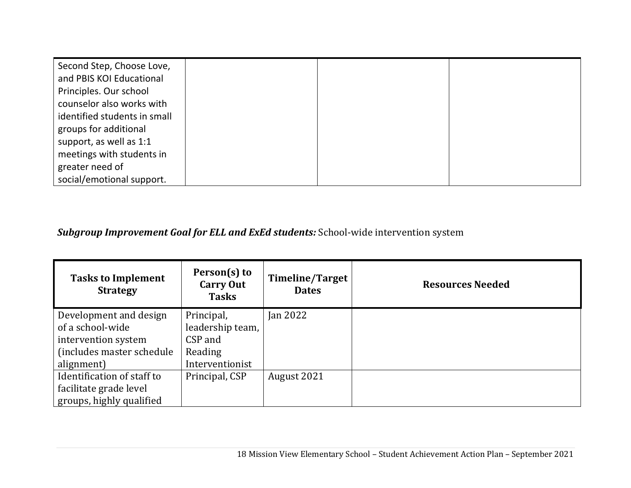| Second Step, Choose Love,    |  |  |
|------------------------------|--|--|
| and PBIS KOI Educational     |  |  |
| Principles. Our school       |  |  |
| counselor also works with    |  |  |
| identified students in small |  |  |
| groups for additional        |  |  |
| support, as well as 1:1      |  |  |
| meetings with students in    |  |  |
| greater need of              |  |  |
| social/emotional support.    |  |  |

*Subgroup Improvement Goal for ELL and ExEd students:* School-wide intervention system

| <b>Tasks to Implement</b><br><b>Strategy</b> | Person(s) to<br><b>Carry Out</b><br><b>Tasks</b> | <b>Timeline/Target</b><br><b>Dates</b> | <b>Resources Needed</b> |
|----------------------------------------------|--------------------------------------------------|----------------------------------------|-------------------------|
| Development and design                       | Principal,                                       | <b>Jan 2022</b>                        |                         |
| of a school-wide                             | leadership team,                                 |                                        |                         |
| intervention system                          | CSP and                                          |                                        |                         |
| (includes master schedule                    | Reading                                          |                                        |                         |
| alignment)                                   | Interventionist                                  |                                        |                         |
| Identification of staff to                   | Principal, CSP                                   | August 2021                            |                         |
| facilitate grade level                       |                                                  |                                        |                         |
| groups, highly qualified                     |                                                  |                                        |                         |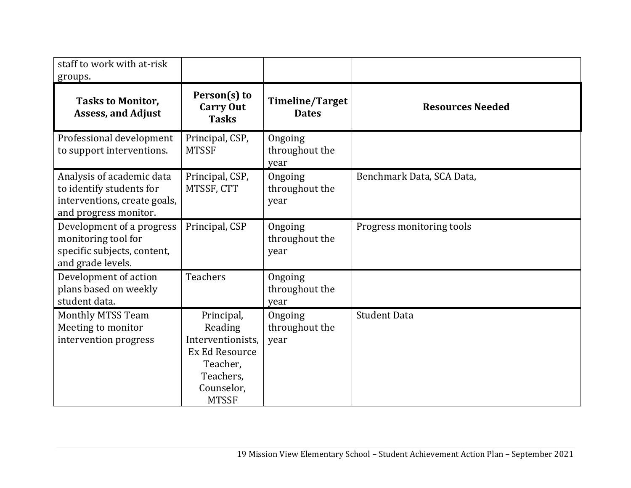| staff to work with at-risk<br>groups.                                                                          |                                                                                                                     |                                        |                           |
|----------------------------------------------------------------------------------------------------------------|---------------------------------------------------------------------------------------------------------------------|----------------------------------------|---------------------------|
| <b>Tasks to Monitor,</b><br><b>Assess, and Adjust</b>                                                          | Person(s) to<br><b>Carry Out</b><br><b>Tasks</b>                                                                    | <b>Timeline/Target</b><br><b>Dates</b> | <b>Resources Needed</b>   |
| Professional development<br>to support interventions.                                                          | Principal, CSP,<br><b>MTSSF</b>                                                                                     | Ongoing<br>throughout the<br>year      |                           |
| Analysis of academic data<br>to identify students for<br>interventions, create goals,<br>and progress monitor. | Principal, CSP,<br>MTSSF, CTT                                                                                       | Ongoing<br>throughout the<br>year      | Benchmark Data, SCA Data, |
| Development of a progress<br>monitoring tool for<br>specific subjects, content,<br>and grade levels.           | Principal, CSP                                                                                                      | Ongoing<br>throughout the<br>year      | Progress monitoring tools |
| Development of action<br>plans based on weekly<br>student data.                                                | <b>Teachers</b>                                                                                                     | Ongoing<br>throughout the<br>year      |                           |
| <b>Monthly MTSS Team</b><br>Meeting to monitor<br>intervention progress                                        | Principal,<br>Reading<br>Interventionists,<br>Ex Ed Resource<br>Teacher,<br>Teachers,<br>Counselor,<br><b>MTSSF</b> | Ongoing<br>throughout the<br>year      | <b>Student Data</b>       |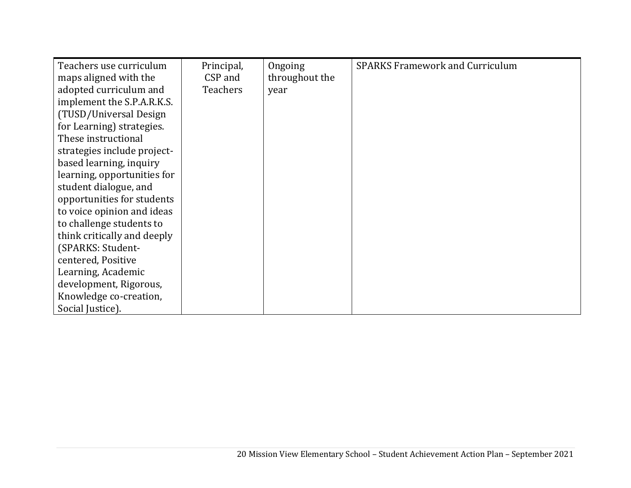| Teachers use curriculum     | Principal,      | Ongoing        | <b>SPARKS Framework and Curriculum</b> |
|-----------------------------|-----------------|----------------|----------------------------------------|
| maps aligned with the       | CSP and         | throughout the |                                        |
| adopted curriculum and      | <b>Teachers</b> | year           |                                        |
| implement the S.P.A.R.K.S.  |                 |                |                                        |
| (TUSD/Universal Design      |                 |                |                                        |
| for Learning) strategies.   |                 |                |                                        |
| These instructional         |                 |                |                                        |
| strategies include project- |                 |                |                                        |
| based learning, inquiry     |                 |                |                                        |
| learning, opportunities for |                 |                |                                        |
| student dialogue, and       |                 |                |                                        |
| opportunities for students  |                 |                |                                        |
| to voice opinion and ideas  |                 |                |                                        |
| to challenge students to    |                 |                |                                        |
| think critically and deeply |                 |                |                                        |
| (SPARKS: Student-           |                 |                |                                        |
| centered, Positive          |                 |                |                                        |
| Learning, Academic          |                 |                |                                        |
| development, Rigorous,      |                 |                |                                        |
| Knowledge co-creation,      |                 |                |                                        |
| Social Justice).            |                 |                |                                        |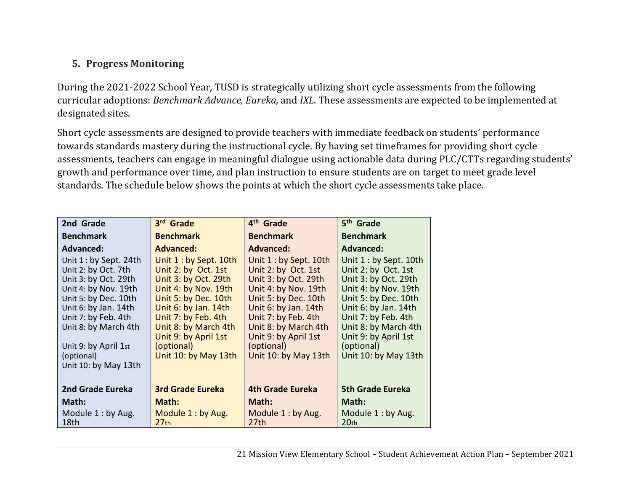## **5. Progress Monitoring**

During the 2021-2022 School Year, TUSD is strategically utilizing short cycle assessments from the following curricular adoptions: *Benchmark Advance, Eureka,* and *IXL*. These assessments are expected to be implemented at designated sites.

Short cycle assessments are designed to provide teachers with immediate feedback on students' performance towards standards mastery during the instructional cycle. By having set timeframes for providing short cycle assessments, teachers can engage in meaningful dialogue using actionable data during PLC/CTTs regarding students' growth and performance over time, and plan instruction to ensure students are on target to meet grade level standards. The schedule below shows the points at which the short cycle assessments take place.

| 2nd Grade               | 3rd Grade               | 4 <sup>th</sup> Grade   | 5 <sup>th</sup> Grade   |
|-------------------------|-------------------------|-------------------------|-------------------------|
| <b>Benchmark</b>        | <b>Benchmark</b>        | <b>Benchmark</b>        | <b>Benchmark</b>        |
| Advanced:               | <b>Advanced:</b>        | <b>Advanced:</b>        | <b>Advanced:</b>        |
| Unit $1:$ by Sept. 24th | Unit $1:$ by Sept. 10th | Unit $1:$ by Sept. 10th | Unit 1 : by Sept. 10th  |
| Unit 2: by Oct. 7th     | Unit 2: by Oct. 1st     | Unit 2: by Oct. 1st     | Unit 2: by Oct. 1st     |
| Unit 3: by Oct. 29th    | Unit 3: by Oct. 29th    | Unit 3: by Oct. 29th    | Unit 3: by Oct. 29th    |
| Unit 4: by Nov. 19th    | Unit 4: by Nov. 19th    | Unit 4: by Nov. 19th    | Unit 4: by Nov. 19th    |
| Unit 5: by Dec. 10th    | Unit 5: by Dec. 10th    | Unit 5: by Dec. 10th    | Unit 5: by Dec. 10th    |
| Unit 6: by Jan. 14th    | Unit 6: by Jan. 14th    | Unit 6: by Jan. 14th    | Unit 6: by Jan. 14th    |
| Unit 7: by Feb. 4th     | Unit 7: by Feb. 4th     | Unit 7: by Feb. 4th     | Unit 7: by Feb. 4th     |
| Unit 8: by March 4th    | Unit 8: by March 4th    | Unit 8: by March 4th    | Unit 8: by March 4th    |
|                         | Unit 9: by April 1st    | Unit 9: by April 1st    | Unit 9: by April 1st    |
| Unit 9: by April 1st    | (optional)              | (optional)              | (optional)              |
| (optional)              | Unit 10: by May 13th    | Unit 10: by May 13th    | Unit 10: by May 13th    |
| Unit 10: by May 13th    |                         |                         |                         |
|                         |                         |                         |                         |
| <b>2nd Grade Eureka</b> | <b>3rd Grade Eureka</b> | 4th Grade Eureka        | <b>5th Grade Eureka</b> |
| Math:                   | Math:                   | Math:                   | Math:                   |
| Module 1: by Aug.       | Module 1: by Aug.       | Module 1: by Aug.       | Module 1: by Aug.       |
| 18th                    | 27 <sub>th</sub>        | 27th                    | 20 <sub>th</sub>        |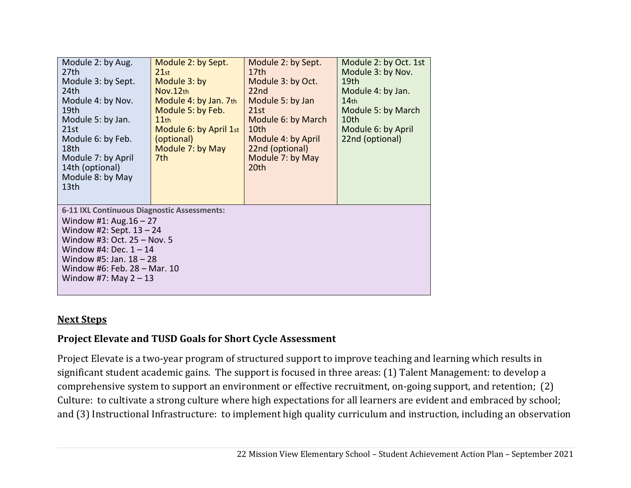| Module 2: by Aug.<br>27th<br>Module 3: by Sept.<br>24th<br>Module 4: by Nov.<br>19th<br>Module 5: by Jan.<br>21st<br>Module 6: by Feb.<br>18th<br>Module 7: by April<br>14th (optional)<br>Module 8: by May<br>13th                                       | Module 2: by Sept.<br>21st<br>Module 3: by<br>Nov.12th<br>Module 4: by Jan. 7th<br>Module 5: by Feb.<br>11th<br>Module 6: by April 1st<br>(optional)<br>Module 7: by May<br>7th | Module 2: by Sept.<br>17th<br>Module 3: by Oct.<br>22 <sub>nd</sub><br>Module 5: by Jan<br>21st<br>Module 6: by March<br>10th<br>Module 4: by April<br>22nd (optional)<br>Module 7: by May<br>20th | Module 2: by Oct. 1st<br>Module 3: by Nov.<br>19th<br>Module 4: by Jan.<br>14 <sub>th</sub><br>Module 5: by March<br>10th<br>Module 6: by April<br>22nd (optional) |  |
|-----------------------------------------------------------------------------------------------------------------------------------------------------------------------------------------------------------------------------------------------------------|---------------------------------------------------------------------------------------------------------------------------------------------------------------------------------|----------------------------------------------------------------------------------------------------------------------------------------------------------------------------------------------------|--------------------------------------------------------------------------------------------------------------------------------------------------------------------|--|
| 6-11 IXL Continuous Diagnostic Assessments:<br>Window #1: Aug. $16 - 27$<br>Window #2: Sept. $13 - 24$<br>Window #3: Oct. 25 - Nov. 5<br>Window #4: Dec. $1 - 14$<br>Window #5: Jan. $18 - 28$<br>Window #6: Feb. 28 - Mar. 10<br>Window #7: May $2 - 13$ |                                                                                                                                                                                 |                                                                                                                                                                                                    |                                                                                                                                                                    |  |

#### **Next Steps**

### **Project Elevate and TUSD Goals for Short Cycle Assessment**

Project Elevate is a two-year program of structured support to improve teaching and learning which results in significant student academic gains. The support is focused in three areas: (1) Talent Management: to develop a comprehensive system to support an environment or effective recruitment, on-going support, and retention; (2) Culture: to cultivate a strong culture where high expectations for all learners are evident and embraced by school; and (3) Instructional Infrastructure: to implement high quality curriculum and instruction, including an observation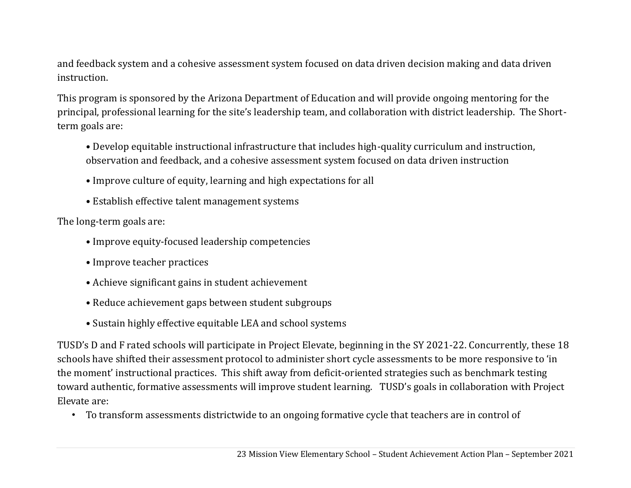and feedback system and a cohesive assessment system focused on data driven decision making and data driven instruction.

This program is sponsored by the Arizona Department of Education and will provide ongoing mentoring for the principal, professional learning for the site's leadership team, and collaboration with district leadership. The Shortterm goals are:

- Develop equitable instructional infrastructure that includes high-quality curriculum and instruction, observation and feedback, and a cohesive assessment system focused on data driven instruction
- Improve culture of equity, learning and high expectations for all
- Establish effective talent management systems

The long-term goals are:

- Improve equity-focused leadership competencies
- Improve teacher practices
- Achieve significant gains in student achievement
- Reduce achievement gaps between student subgroups
- Sustain highly effective equitable LEA and school systems

TUSD's D and F rated schools will participate in Project Elevate, beginning in the SY 2021-22. Concurrently, these 18 schools have shifted their assessment protocol to administer short cycle assessments to be more responsive to 'in the moment' instructional practices. This shift away from deficit-oriented strategies such as benchmark testing toward authentic, formative assessments will improve student learning. TUSD's goals in collaboration with Project Elevate are:

• To transform assessments districtwide to an ongoing formative cycle that teachers are in control of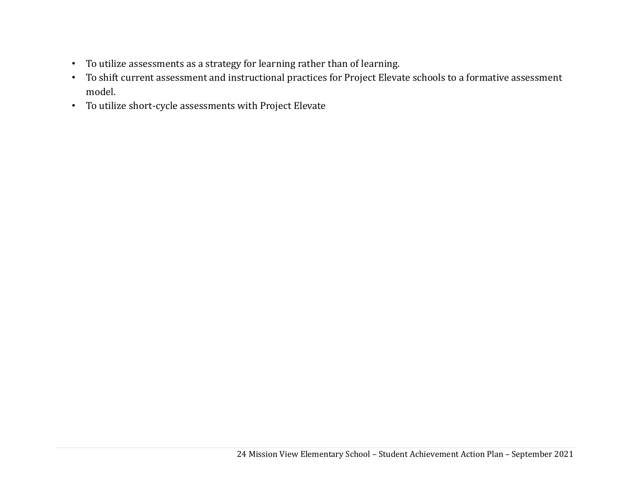- To utilize assessments as a strategy for learning rather than of learning.
- To shift current assessment and instructional practices for Project Elevate schools to a formative assessment model.
- To utilize short-cycle assessments with Project Elevate